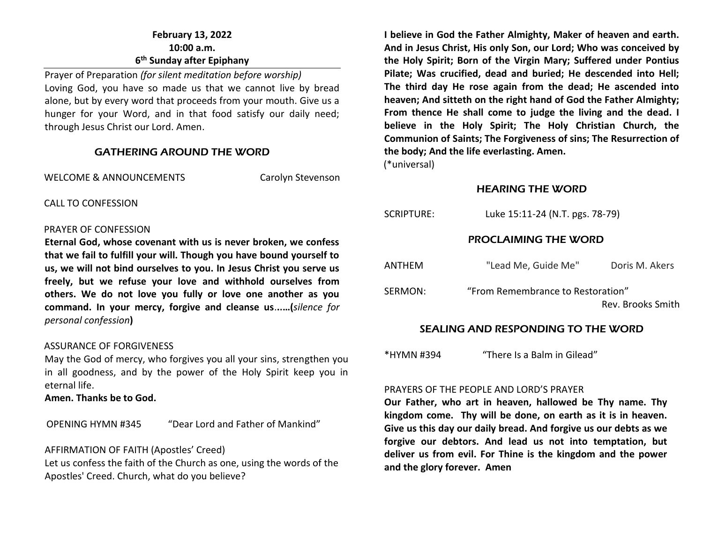## **February 13, 2022 10:00 a.m. 6 th Sunday after Epiphany**

Prayer of Preparation *(for silent meditation before worship)* Loving God, you have so made us that we cannot live by bread alone, but by every word that proceeds from your mouth. Give us a hunger for your Word, and in that food satisfy our daily need; through Jesus Christ our Lord. Amen.

#### GATHERING AROUND THE WORD

WELCOME & ANNOUNCEMENTS Carolyn Stevenson

CALL TO CONFESSION

#### PRAYER OF CONFESSION

**Eternal God, whose covenant with us is never broken, we confess that we fail to fulfill your will. Though you have bound yourself to us, we will not bind ourselves to you. In Jesus Christ you serve us freely, but we refuse your love and withhold ourselves from others. We do not love you fully or love one another as you command. In your mercy, forgive and cleanse us**.**..…(***silence for personal confession***)**

#### ASSURANCE OF FORGIVENESS

May the God of mercy, who forgives you all your sins, strengthen you in all goodness, and by the power of the Holy Spirit keep you in eternal life.

**Amen. Thanks be to God.**

OPENING HYMN #345 "Dear Lord and Father of Mankind"

#### AFFIRMATION OF FAITH (Apostles' Creed)

Let us confess the faith of the Church as one, using the words of the Apostles' Creed. Church, what do you believe?

**I believe in God the Father Almighty, Maker of heaven and earth. And in Jesus Christ, His only Son, our Lord; Who was conceived by the Holy Spirit; Born of the Virgin Mary; Suffered under Pontius Pilate; Was crucified, dead and buried; He descended into Hell; The third day He rose again from the dead; He ascended into heaven; And sitteth on the right hand of God the Father Almighty; From thence He shall come to judge the living and the dead. I believe in the Holy Spirit; The Holy Christian Church, the Communion of Saints; The Forgiveness of sins; The Resurrection of the body; And the life everlasting. Amen.**

(\*universal)

## HEARING THE WORD

| SCRIPTURE: | Luke 15:11-24 (N.T. pgs. 78-79)                        |                |  |
|------------|--------------------------------------------------------|----------------|--|
|            | <b>PROCLAIMING THE WORD</b>                            |                |  |
| ANTHEM     | "Lead Me, Guide Me"                                    | Doris M. Akers |  |
| SERMON:    | "From Remembrance to Restoration"<br>Rev. Brooks Smith |                |  |

#### SEALING AND RESPONDING TO THE WORD

\*HYMN #394 "There Is a Balm in Gilead"

#### PRAYERS OF THE PEOPLE AND LORD'S PRAYER

**Our Father, who art in heaven, hallowed be Thy name. Thy kingdom come. Thy will be done, on earth as it is in heaven. Give us this day our daily bread. And forgive us our debts as we forgive our debtors. And lead us not into temptation, but deliver us from evil. For Thine is the kingdom and the power and the glory forever. Amen**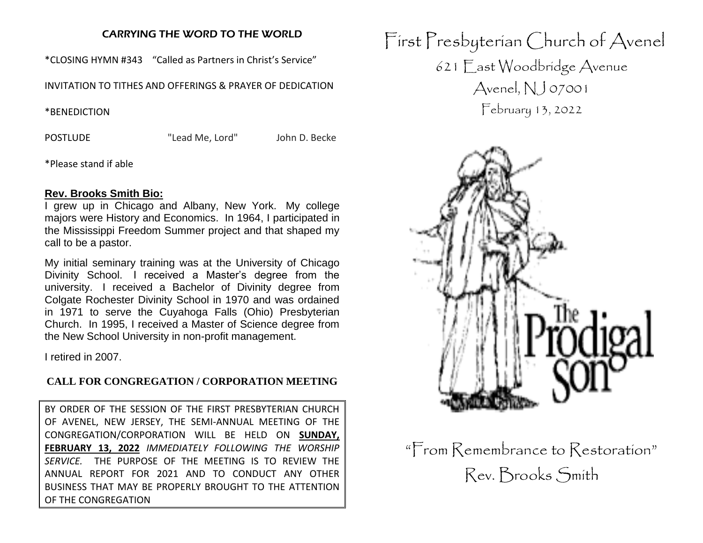#### CARRYING THE WORD TO THE WORLD

\*CLOSING HYMN #343 "Called as Partners in Christ's Service"

INVITATION TO TITHES AND OFFERINGS & PRAYER OF DEDICATION

\*BENEDICTION

POSTLUDE "Lead Me, Lord" John D. Becke

\*Please stand if able

#### **Rev. Brooks Smith Bio:**

I grew up in Chicago and Albany, New York. My college majors were History and Economics. In 1964, I participated in the Mississippi Freedom Summer project and that shaped my call to be a pastor.

My initial seminary training was at the University of Chicago Divinity School. I received a Master's degree from the university. I received a Bachelor of Divinity degree from Colgate Rochester Divinity School in 1970 and was ordained in 1971 to serve the Cuyahoga Falls (Ohio) Presbyterian Church. In 1995, I received a Master of Science degree from the New School University in non-profit management.

I retired in 2007.

#### **CALL FOR CONGREGATION / CORPORATION MEETING**

BY ORDER OF THE SESSION OF THE FIRST PRESBYTERIAN CHURCH OF AVENEL, NEW JERSEY, THE SEMI-ANNUAL MEETING OF THE CONGREGATION/CORPORATION WILL BE HELD ON **SUNDAY, FEBRUARY 13, 2022** *IMMEDIATELY FOLLOWING THE WORSHIP SERVICE.* THE PURPOSE OF THE MEETING IS TO REVIEW THE ANNUAL REPORT FOR 2021 AND TO CONDUCT ANY OTHER BUSINESS THAT MAY BE PROPERLY BROUGHT TO THE ATTENTION OF THE CONGREGATION

First Presbyterian Church of Avenel 621 East Woodbridge Avenue Avenel, NJ 07001 February 13, 2022



"From Remembrance to Restoration" Rev. Brooks Smith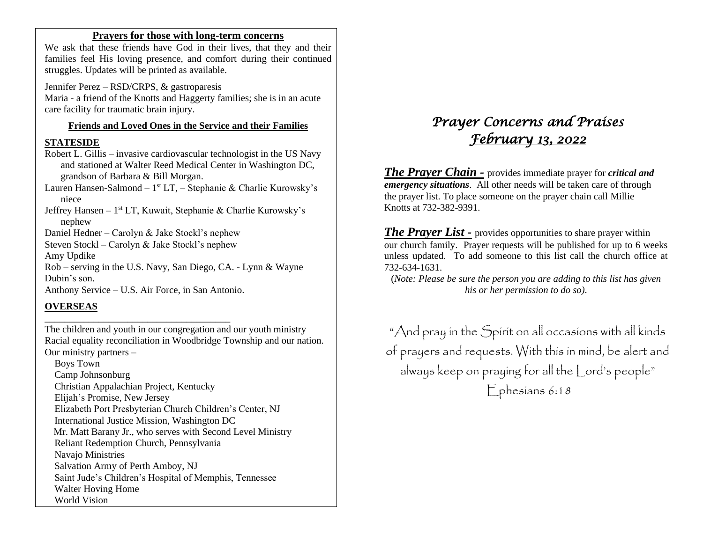#### **Prayers for those with long-term concerns**

We ask that these friends have God in their lives, that they and their families feel His loving presence, and comfort during their continued struggles. Updates will be printed as available.

Jennifer Perez – RSD/CRPS, & gastroparesis Maria - a friend of the Knotts and Haggerty families; she is in an acute care facility for traumatic brain injury.

#### **Friends and Loved Ones in the Service and their Families**

#### **STATESIDE**

Robert L. Gillis – invasive cardiovascular technologist in the US Navy and stationed at Walter Reed Medical Center in Washington DC, grandson of Barbara & Bill Morgan.

Lauren Hansen-Salmond – 1<sup>st</sup> LT, – Stephanie & Charlie Kurowsky's niece

Jeffrey Hansen - 1<sup>st</sup> LT, Kuwait, Stephanie & Charlie Kurowsky's nephew

Daniel Hedner – Carolyn & Jake Stockl's nephew

Steven Stockl – Carolyn & Jake Stockl's nephew

Amy Updike

Rob – serving in the U.S. Navy, San Diego, CA. - Lynn & Wayne Dubin's son.

Anthony Service – U.S. Air Force, in San Antonio.

\_\_\_\_\_\_\_\_\_\_\_\_\_\_\_\_\_\_\_\_\_\_\_\_\_\_\_\_\_\_\_\_\_\_\_\_\_\_

## **OVERSEAS**

The children and youth in our congregation and our youth ministry Racial equality reconciliation in Woodbridge Township and our nation. Our ministry partners –

 Boys Town Camp Johnsonburg Christian Appalachian Project, Kentucky Elijah's Promise, New Jersey Elizabeth Port Presbyterian Church Children's Center, NJ International Justice Mission, Washington DC Mr. Matt Barany Jr., who serves with Second Level Ministry Reliant Redemption Church, Pennsylvania Navajo Ministries Salvation Army of Perth Amboy, NJ Saint Jude's Children's Hospital of Memphis, Tennessee Walter Hoving Home World Vision

# *Prayer Concerns and Praises February 13, 2022*

*The Prayer Chain -* provides immediate prayer for *critical and emergency situations*. All other needs will be taken care of through the prayer list. To place someone on the prayer chain call Millie Knotts at 732-382-9391.

*The Prayer List -* provides opportunities to share prayer within our church family. Prayer requests will be published for up to 6 weeks unless updated. To add someone to this list call the church office at 732-634-1631.

(*Note: Please be sure the person you are adding to this list has given his or her permission to do so).*

"And pray in the Spirit on all occasions with all kinds of prayers and requests. With this in mind, be alert and always keep on praying for all the Lord's people" Ephesians 6:18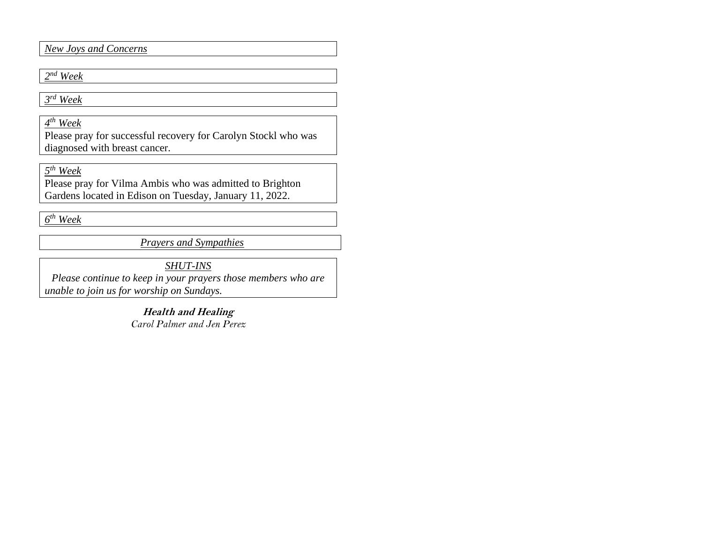*New Joys and Concerns*

## *2 nd Week*

*3 rd Week*

*4 th Week*

Please pray for successful recovery for Carolyn Stockl who was diagnosed with breast cancer.

*5 th Week*

Please pray for Vilma Ambis who was admitted to Brighton Gardens located in Edison on Tuesday, January 11, 2022.

*6 th Week* 

*Prayers and Sympathies*

*SHUT-INS*

*Please continue to keep in your prayers those members who are unable to join us for worship on Sundays.* 

> **Health and Healing** *Carol Palmer and Jen Perez*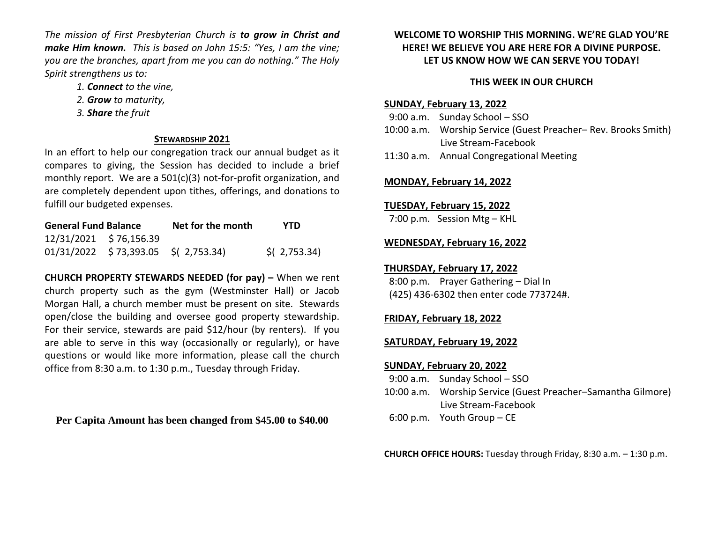*The mission of First Presbyterian Church is to grow in Christ and make Him known. This is based on John 15:5: "Yes, I am the vine; you are the branches, apart from me you can do nothing." The Holy Spirit strengthens us to:* 

- *1. Connect to the vine,*
- *2. Grow to maturity,*
- *3. Share the fruit*

#### **STEWARDSHIP 2021**

In an effort to help our congregation track our annual budget as it compares to giving, the Session has decided to include a brief monthly report. We are a 501(c)(3) not-for-profit organization, and are completely dependent upon tithes, offerings, and donations to fulfill our budgeted expenses.

| <b>General Fund Balance</b> |                                       | Net for the month | <b>YTD</b>                |  |
|-----------------------------|---------------------------------------|-------------------|---------------------------|--|
|                             | 12/31/2021 \$76,156.39                |                   |                           |  |
|                             | $01/31/2022$ \$73,393.05 \$(2,753.34) |                   | $\frac{1}{2}$ ( 2,753.34) |  |

**CHURCH PROPERTY STEWARDS NEEDED (for pay) –** When we rent church property such as the gym (Westminster Hall) or Jacob Morgan Hall, a church member must be present on site. Stewards open/close the building and oversee good property stewardship. For their service, stewards are paid \$12/hour (by renters). If you are able to serve in this way (occasionally or regularly), or have questions or would like more information, please call the church office from 8:30 a.m. to 1:30 p.m., Tuesday through Friday.

**Per Capita Amount has been changed from \$45.00 to \$40.00**

#### **WELCOME TO WORSHIP THIS MORNING. WE'RE GLAD YOU'RE HERE! WE BELIEVE YOU ARE HERE FOR A DIVINE PURPOSE. LET US KNOW HOW WE CAN SERVE YOU TODAY!**

# **THIS WEEK IN OUR CHURCH**

# **SUNDAY, February 13, 2022**

- 9:00 a.m. Sunday School SSO 10:00 a.m. Worship Service (Guest Preacher– Rev. Brooks Smith) Live Stream-Facebook
- 11:30 a.m. Annual Congregational Meeting

## **MONDAY, February 14, 2022**

## **TUESDAY, February 15, 2022**

7:00 p.m. Session Mtg – KHL

## **WEDNESDAY, February 16, 2022**

# **THURSDAY, February 17, 2022**

 8:00 p.m. Prayer Gathering – Dial In (425) 436-6302 then enter code 773724#.

# **FRIDAY, February 18, 2022**

## **SATURDAY, February 19, 2022**

#### **SUNDAY, February 20, 2022**

| $9:00$ a.m. Sunday School $-$ SSO                            |
|--------------------------------------------------------------|
| 10:00 a.m. Worship Service (Guest Preacher–Samantha Gilmore) |
| Live Stream-Facebook                                         |
| $6:00$ p.m. Youth Group – CE                                 |

**CHURCH OFFICE HOURS:** Tuesday through Friday, 8:30 a.m. – 1:30 p.m.